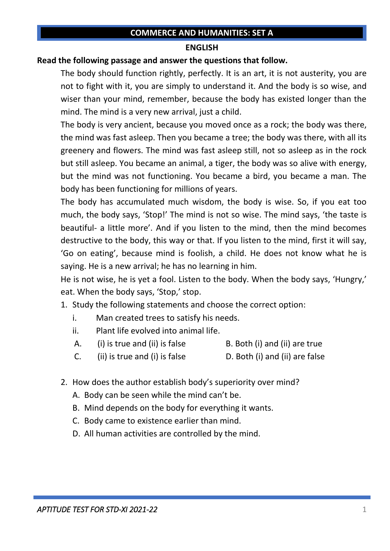#### **ENGLISH**

#### **Read the following passage and answer the questions that follow.**

The body should function rightly, perfectly. It is an art, it is not austerity, you are not to fight with it, you are simply to understand it. And the body is so wise, and wiser than your mind, remember, because the body has existed longer than the mind. The mind is a very new arrival, just a child.

The body is very ancient, because you moved once as a rock; the body was there, the mind was fast asleep. Then you became a tree; the body was there, with all its greenery and flowers. The mind was fast asleep still, not so asleep as in the rock but still asleep. You became an animal, a tiger, the body was so alive with energy, but the mind was not functioning. You became a bird, you became a man. The body has been functioning for millions of years.

The body has accumulated much wisdom, the body is wise. So, if you eat too much, the body says, 'Stop!' The mind is not so wise. The mind says, 'the taste is beautiful- a little more'. And if you listen to the mind, then the mind becomes destructive to the body, this way or that. If you listen to the mind, first it will say, 'Go on eating', because mind is foolish, a child. He does not know what he is saying. He is a new arrival; he has no learning in him.

He is not wise, he is yet a fool. Listen to the body. When the body says, 'Hungry,' eat. When the body says, 'Stop,' stop.

- 1. Study the following statements and choose the correct option:
	- i. Man created trees to satisfy his needs.
	- ii. Plant life evolved into animal life.
	- A. (i) is true and (ii) is false B. Both (i) and (ii) are true
	- C. (ii) is true and (i) is false D. Both (i) and (ii) are false
- 2. How does the author establish body's superiority over mind?
	- A. Body can be seen while the mind can't be.
	- B. Mind depends on the body for everything it wants.
	- C. Body came to existence earlier than mind.
	- D. All human activities are controlled by the mind.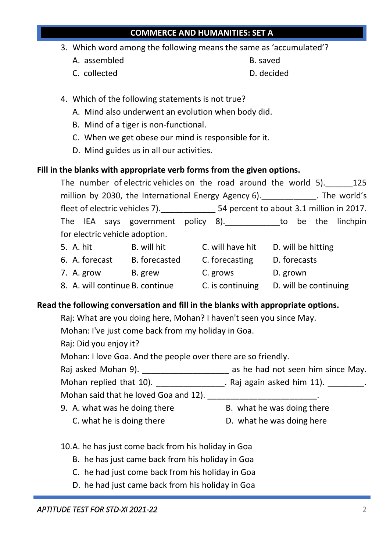- 3. Which word among the following means the same as 'accumulated'?
	- A. assembled B. saved
		-

- C. collected D. decided
- 4. Which of the following statements is not true?
	- A. Mind also underwent an evolution when body did.
	- B. Mind of a tiger is non-functional.
	- C. When we get obese our mind is responsible for it.
	- D. Mind guides us in all our activities.

# **Fill in the blanks with appropriate verb forms from the given options.**

The number of electric vehicles on the road around the world 5). 25 million by 2030, the International Energy Agency 6). The world's fleet of electric vehicles 7). \_\_\_\_\_\_\_\_\_\_\_\_\_\_\_ 54 percent to about 3.1 million in 2017. The IEA says government policy 8). The to be the linchpin for electric vehicle adoption. 5. A. hit B. will hit C. will have hit D. will be hitting 6. A. forecast B. forecasted C. forecasting D. forecasts

7. A. grow B. grew C. grows D. grown 8. A. will continue B. continue C. is continuing D. will be continuing

# **Read the following conversation and fill in the blanks with appropriate options.**

Raj: What are you doing here, Mohan? I haven't seen you since May.

Mohan: I've just come back from my holiday in Goa.

Raj: Did you enjoy it?

Mohan: I love Goa. And the people over there are so friendly.

Raj asked Mohan 9). \_\_\_\_\_\_\_\_\_\_\_\_\_\_\_\_\_\_\_\_\_\_\_ as he had not seen him since May.

Mohan replied that 10). \_\_\_\_\_\_\_\_\_\_\_\_\_\_\_\_\_. Raj again asked him 11). \_\_\_\_\_\_\_\_\_.

Mohan said that he loved Goa and 12).

- 9. A. what was he doing there **B.** what he was doing there
	- C. what he is doing there **D.** what he was doing here
- 10.A. he has just come back from his holiday in Goa
	- B. he has just came back from his holiday in Goa
	- C. he had just come back from his holiday in Goa
	- D. he had just came back from his holiday in Goa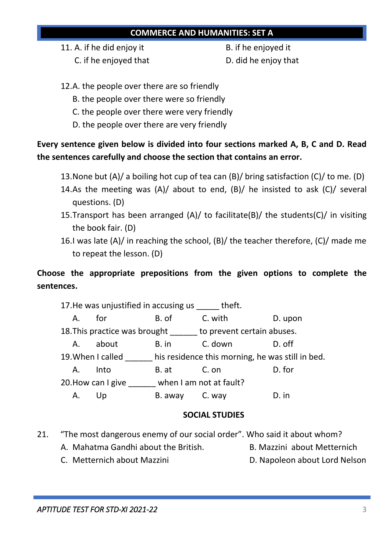- 11. A. if he did enjoy it B. if he enjoyed it
- - C. if he enjoyed that D. did he enjoy that
- 12.A. the people over there are so friendly
	- B. the people over there were so friendly
	- C. the people over there were very friendly
	- D. the people over there are very friendly

**Every sentence given below is divided into four sections marked A, B, C and D. Read the sentences carefully and choose the section that contains an error.** 

- 13.None but (A)/ a boiling hot cup of tea can (B)/ bring satisfaction (C)/ to me. (D)
- 14.As the meeting was (A)/ about to end, (B)/ he insisted to ask (C)/ several questions. (D)
- 15.Transport has been arranged (A)/ to facilitate(B)/ the students(C)/ in visiting the book fair. (D)
- 16.I was late (A)/ in reaching the school, (B)/ the teacher therefore, (C)/ made me to repeat the lesson. (D)

**Choose the appropriate prepositions from the given options to complete the sentences.**

17. He was unjustified in accusing us theft. A. for B. of C. with D. upon 18. This practice was brought \_\_\_\_\_\_ to prevent certain abuses. A. about B. in C. down D. off 19. When I called his residence this morning, he was still in bed. A. Into B. at C. on D. for 20. How can I give \_\_\_\_\_\_ when I am not at fault? A. Up B. away C. way D. in

#### **SOCIAL STUDIES**

- 21. "The most dangerous enemy of our social order". Who said it about whom?
	- A. Mahatma Gandhi about the British. B. Mazzini about Metternich
	- C. Metternich about Mazzini D. Napoleon about Lord Nelson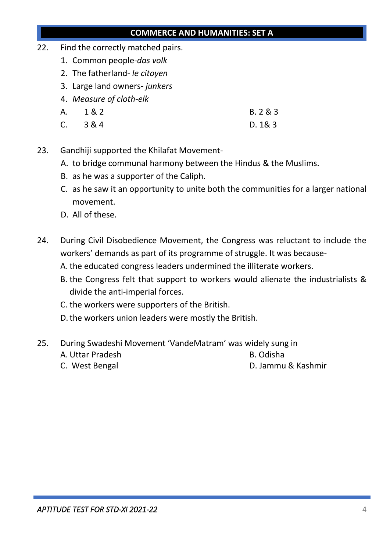- 22. Find the correctly matched pairs.
	- 1. Common people-*das volk*
	- 2. The fatherland*- le citoyen*
	- 3. Large land owners*- junkers*
	- 4. *Measure of cloth-elk*
	- A. 1 & 2 B. 2 & 3 C. 3 & 4 D. 1& 3
	-
- 23. Gandhiji supported the Khilafat Movement-
	- A. to bridge communal harmony between the Hindus & the Muslims.
	- B. as he was a supporter of the Caliph.
	- C. as he saw it an opportunity to unite both the communities for a larger national movement.
	- D. All of these.
- 24. During Civil Disobedience Movement, the Congress was reluctant to include the workers' demands as part of its programme of struggle. It was because-
	- A. the educated congress leaders undermined the illiterate workers.
	- B. the Congress felt that support to workers would alienate the industrialists & divide the anti-imperial forces.
	- C. the workers were supporters of the British.
	- D.the workers union leaders were mostly the British.
- 25. During Swadeshi Movement 'VandeMatram' was widely sung in
	- A. Uttar Pradesh B. Odisha
		-
	- C. West Bengal **C. West Bengal D. Jammu & Kashmir**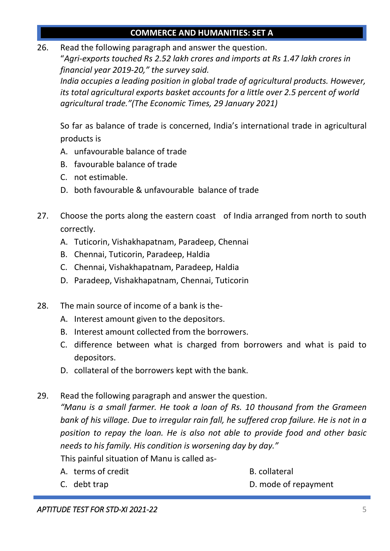26. Read the following paragraph and answer the question. "*Agri-exports touched Rs 2.52 lakh crores and imports at Rs 1.47 lakh crores in financial year 2019-20," the survey said. India occupies a leading position in global trade of agricultural products. However, its total agricultural exports basket accounts for a little over 2.5 percent of world agricultural trade."(The Economic Times, 29 January 2021)*

So far as balance of trade is concerned, India's international trade in agricultural products is

- A. unfavourable balance of trade
- B. favourable balance of trade
- C. not estimable.
- D. both favourable & unfavourable balance of trade
- 27. Choose the ports along the eastern coast of India arranged from north to south correctly.
	- A. Tuticorin, Vishakhapatnam, Paradeep, Chennai
	- B. Chennai, Tuticorin, Paradeep, Haldia
	- C. Chennai, Vishakhapatnam, Paradeep, Haldia
	- D. Paradeep, Vishakhapatnam, Chennai, Tuticorin
- 28. The main source of income of a bank is the-
	- A. Interest amount given to the depositors.
	- B. Interest amount collected from the borrowers.
	- C. difference between what is charged from borrowers and what is paid to depositors.
	- D. collateral of the borrowers kept with the bank.
- 29. Read the following paragraph and answer the question.

*"Manu is a small farmer. He took a loan of Rs. 10 thousand from the Grameen bank of his village. Due to irregular rain fall, he suffered crop failure. He is not in a position to repay the loan. He is also not able to provide food and other basic needs to his family. His condition is worsening day by day."*

This painful situation of Manu is called as-

- A. terms of credit B. collateral
- C. debt trap  $D.$  mode of repayment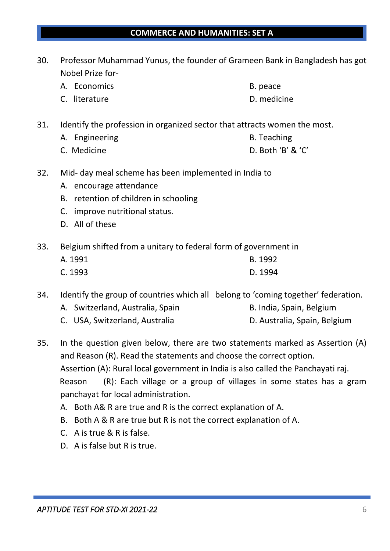- 30. Professor Muhammad Yunus, the founder of Grameen Bank in Bangladesh has got Nobel Prize for-
	- A. Economics B. peace
	- C. literature D. medicine

- 31. Identify the profession in organized sector that attracts women the most.
	- A. Engineering B. Teaching
	- C. Medicine D. Both 'B' & 'C'
	- 32. Mid- day meal scheme has been implemented in India to
		- A. encourage attendance
		- B. retention of children in schooling
		- C. improve nutritional status.
		- D. All of these
	- 33. Belgium shifted from a unitary to federal form of government in

| A. 1991 | B. 1992 |
|---------|---------|
| C. 1993 | D. 1994 |

34. Identify the group of countries which all belong to 'coming together' federation.

- A. Switzerland, Australia, Spain B. India, Spain, Belgium
- C. USA, Switzerland, Australia D. Australia, Spain, Belgium
- 35. In the question given below, there are two statements marked as Assertion (A) and Reason (R). Read the statements and choose the correct option. Assertion (A): Rural local government in India is also called the Panchayati raj. Reason (R): Each village or a group of villages in some states has a gram panchayat for local administration.
	- A. Both A& R are true and R is the correct explanation of A.
	- B. Both A & R are true but R is not the correct explanation of A.
	- C. A is true & R is false.
	- D. A is false but R is true.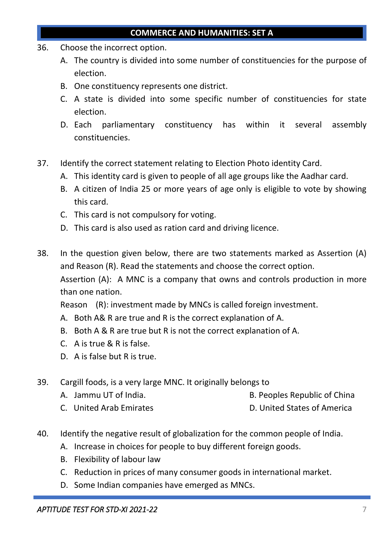- 36. Choose the incorrect option.
	- A. The country is divided into some number of constituencies for the purpose of election.
	- B. One constituency represents one district.
	- C. A state is divided into some specific number of constituencies for state election.
	- D. Each parliamentary constituency has within it several assembly constituencies.
- 37. Identify the correct statement relating to Election Photo identity Card.
	- A. This identity card is given to people of all age groups like the Aadhar card.
	- B. A citizen of India 25 or more years of age only is eligible to vote by showing this card.
	- C. This card is not compulsory for voting.
	- D. This card is also used as ration card and driving licence.
- 38. In the question given below, there are two statements marked as Assertion (A) and Reason (R). Read the statements and choose the correct option. Assertion (A): A MNC is a company that owns and controls production in more than one nation.

Reason (R): investment made by MNCs is called foreign investment.

- A. Both A& R are true and R is the correct explanation of A.
- B. Both A & R are true but R is not the correct explanation of A.
- C. A is true & R is false.
- D. A is false but R is true.
- 39. Cargill foods, is a very large MNC. It originally belongs to
	- A. Jammu UT of India.  $\qquad \qquad$  B. Peoples Republic of China
	- C. United Arab Emirates **D. United States of America**
- 40. Identify the negative result of globalization for the common people of India.
	- A. Increase in choices for people to buy different foreign goods.
	- B. Flexibility of labour law
	- C. Reduction in prices of many consumer goods in international market.
	- D. Some Indian companies have emerged as MNCs.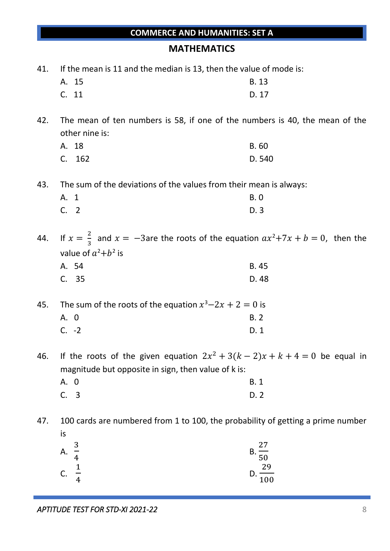| <b>COMMERCE AND HUMANITIES: SET A</b> |                                                                                                                                    |                     |  |
|---------------------------------------|------------------------------------------------------------------------------------------------------------------------------------|---------------------|--|
| <b>MATHEMATICS</b>                    |                                                                                                                                    |                     |  |
| 41.                                   | If the mean is 11 and the median is 13, then the value of mode is:                                                                 |                     |  |
|                                       | A. 15                                                                                                                              | B. 13               |  |
|                                       | C. 11                                                                                                                              | D. 17               |  |
| 42.                                   | The mean of ten numbers is 58, if one of the numbers is 40, the mean of the<br>other nine is:                                      |                     |  |
|                                       | A. 18                                                                                                                              | <b>B.</b> 60        |  |
|                                       | C. 162                                                                                                                             | D. 540              |  |
| 43.                                   | The sum of the deviations of the values from their mean is always:                                                                 |                     |  |
|                                       | A. 1                                                                                                                               | <b>B.O</b>          |  |
|                                       | C. 2                                                                                                                               | D.3                 |  |
|                                       | 44. If $x = \frac{2}{3}$ and $x = -3$ are the roots of the equation $ax^2+7x + b = 0$ , then the<br>value of $a^2+b^2$ is          |                     |  |
|                                       | A. 54                                                                                                                              | <b>B.45</b>         |  |
|                                       | C. 35                                                                                                                              | D. 48               |  |
| 45.                                   | The sum of the roots of the equation $x^3-2x+2=0$ is                                                                               |                     |  |
|                                       | A. 0                                                                                                                               | B. 2                |  |
|                                       | $C. -2$                                                                                                                            | D.1                 |  |
| 46.                                   | If the roots of the given equation $2x^2 + 3(k-2)x + k + 4 = 0$ be equal in<br>magnitude but opposite in sign, then value of k is: |                     |  |
|                                       | A. 0                                                                                                                               | <b>B.1</b>          |  |
|                                       | C.<br>$\overline{3}$                                                                                                               | D.2                 |  |
| 47.                                   | 100 cards are numbered from 1 to 100, the probability of getting a prime number<br>is                                              |                     |  |
|                                       | 3                                                                                                                                  |                     |  |
|                                       | А.                                                                                                                                 | $B. \frac{1}{50}$   |  |
|                                       | $\frac{1}{4}$                                                                                                                      | $D. \frac{29}{100}$ |  |
|                                       |                                                                                                                                    |                     |  |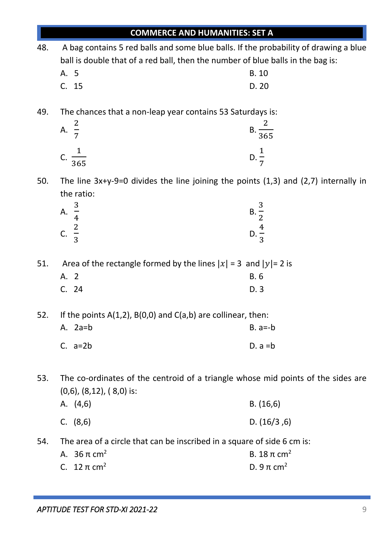| 48. | A bag contains 5 red balls and some blue balls. If the probability of drawing a blue                                 |                                      |
|-----|----------------------------------------------------------------------------------------------------------------------|--------------------------------------|
|     | ball is double that of a red ball, then the number of blue balls in the bag is:                                      |                                      |
|     | A. 5                                                                                                                 | B. 10                                |
|     | C. 15                                                                                                                | D. 20                                |
| 49. | The chances that a non-leap year contains 53 Saturdays is:                                                           |                                      |
|     | A. $\frac{2}{7}$                                                                                                     | $B. \frac{2}{365}$                   |
|     | C. $\frac{1}{365}$                                                                                                   | $D. \frac{1}{7}$                     |
| 50. | The line $3x+y-9=0$ divides the line joining the points $(1,3)$ and $(2,7)$ internally in                            |                                      |
|     | the ratio:                                                                                                           |                                      |
|     | 3                                                                                                                    |                                      |
|     |                                                                                                                      |                                      |
|     | A. $\frac{5}{4}$<br>C. $\frac{2}{3}$                                                                                 | B. $\frac{3}{2}$<br>D. $\frac{4}{3}$ |
| 51. | Area of the rectangle formed by the lines $ x  = 3$ and $ y  = 2$ is                                                 |                                      |
|     | A. 2                                                                                                                 | <b>B.</b> 6                          |
|     | C. 24                                                                                                                | D.3                                  |
| 52. | If the points $A(1,2)$ , $B(0,0)$ and $C(a,b)$ are collinear, then:                                                  |                                      |
|     | A. 2a=b                                                                                                              | $B. a=-b$                            |
|     | $C. a=2b$                                                                                                            | $D. a = b$                           |
| 53. | The co-ordinates of the centroid of a triangle whose mid points of the sides are<br>$(0,6)$ , $(8,12)$ , $(8,0)$ is: |                                      |
|     | A. $(4,6)$                                                                                                           | B. (16, 6)                           |
|     | C. $(8,6)$                                                                                                           | D. (16/3, 6)                         |
| 54. | The area of a circle that can be inscribed in a square of side 6 cm is:                                              |                                      |

- A.  $36 \pi \text{ cm}^2$  B.  $18 \pi \text{ cm}^2$ 
	- C. 12 π cm<sup>2</sup> D. 9 π cm<sup>2</sup>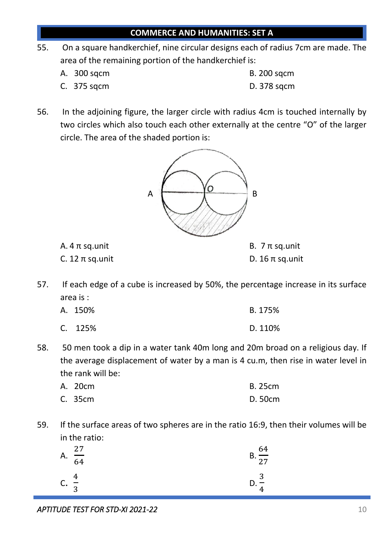- 55. On a square handkerchief, nine circular designs each of radius 7cm are made. The area of the remaining portion of the handkerchief is:
	- A. 300 sqcm B. 200 sqcm
	- C. 375 sqcm D. 378 sqcm
- 56. In the adjoining figure, the larger circle with radius 4cm is touched internally by two circles which also touch each other externally at the centre "O" of the larger circle. The area of the shaded portion is:



 $A. 4 \pi$  sq.unit B. 7  $\pi$  sq.unit C. 12  $\pi$  sq.unit D. 16  $\pi$  sq.unit

57. If each edge of a cube is increased by 50%, the percentage increase in its surface area is :

| A. 150% | B. 175% |
|---------|---------|
| C. 125% | D. 110% |

58. 50 men took a dip in a water tank 40m long and 20m broad on a religious day. If the average displacement of water by a man is 4 cu.m, then rise in water level in the rank will be:

| A. 20cm | <b>B. 25cm</b> |
|---------|----------------|
| C. 35cm | D. 50cm        |

59. If the surface areas of two spheres are in the ratio 16:9, then their volumes will be in the ratio:

| А. | $\frac{27}{1}$<br>64 | 64<br>$\overline{27}$ |
|----|----------------------|-----------------------|
| C. | 2                    | 3                     |